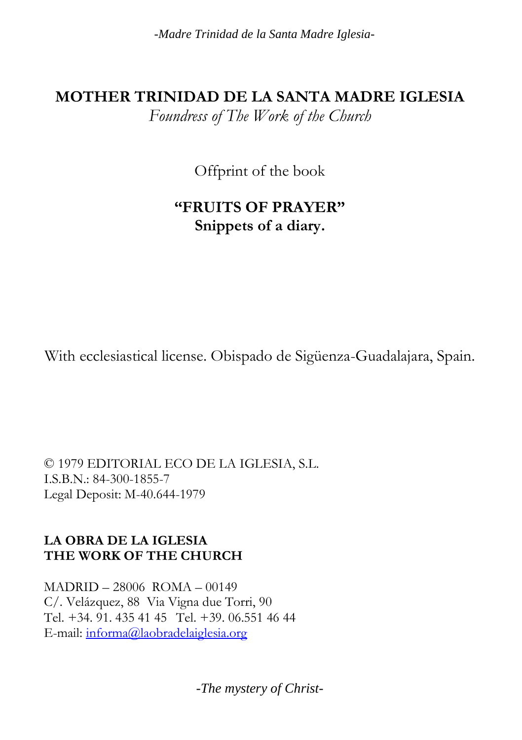*-Madre Trinidad de la Santa Madre Iglesia-*

#### **MOTHER TRINIDAD DE LA SANTA MADRE IGLESIA**

*Foundress of The Work of the Church*

Offprint of the book

# **"FRUITS OF PRAYER" Snippets of a diary.**

With ecclesiastical license. Obispado de Sigüenza-Guadalajara, Spain.

© 1979 EDITORIAL ECO DE LA IGLESIA, S.L. I.S.B.N.: 84-300-1855-7 Legal Deposit: M-40.644-1979

#### **LA OBRA DE LA IGLESIA THE WORK OF THE CHURCH**

MADRID – 28006 ROMA – 00149 C/. Velázquez, 88 Via Vigna due Torri, 90 Tel. +34. 91. 435 41 45 Tel. +39. 06.551 46 44 E-mail: [informa@laobradelaiglesia.org](mailto:informa@laobradelaiglesia.org)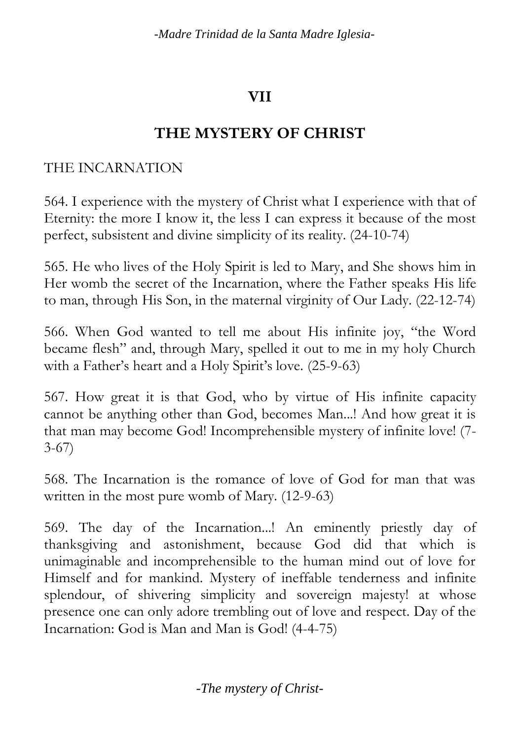*-Madre Trinidad de la Santa Madre Iglesia-*

# **VII**

## **THE MYSTERY OF CHRIST**

### THE INCARNATION

564. I experience with the mystery of Christ what I experience with that of Eternity: the more I know it, the less I can express it because of the most perfect, subsistent and divine simplicity of its reality. (24-10-74)

565. He who lives of the Holy Spirit is led to Mary, and She shows him in Her womb the secret of the Incarnation, where the Father speaks His life to man, through His Son, in the maternal virginity of Our Lady. (22-12-74)

566. When God wanted to tell me about His infinite joy, "the Word became flesh" and, through Mary, spelled it out to me in my holy Church with a Father's heart and a Holy Spirit's love. (25-9-63)

567. How great it is that God, who by virtue of His infinite capacity cannot be anything other than God, becomes Man...! And how great it is that man may become God! Incomprehensible mystery of infinite love! (7- 3-67)

568. The Incarnation is the romance of love of God for man that was written in the most pure womb of Mary. (12-9-63)

569. The day of the Incarnation...! An eminently priestly day of thanksgiving and astonishment, because God did that which is unimaginable and incomprehensible to the human mind out of love for Himself and for mankind. Mystery of ineffable tenderness and infinite splendour, of shivering simplicity and sovereign majesty! at whose presence one can only adore trembling out of love and respect. Day of the Incarnation: God is Man and Man is God! (4-4-75)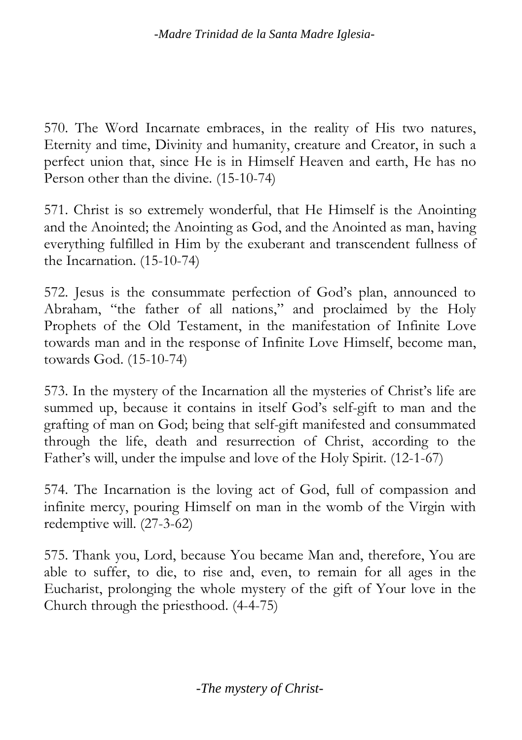570. The Word Incarnate embraces, in the reality of His two natures, Eternity and time, Divinity and humanity, creature and Creator, in such a perfect union that, since He is in Himself Heaven and earth, He has no Person other than the divine. (15-10-74)

571. Christ is so extremely wonderful, that He Himself is the Anointing and the Anointed; the Anointing as God, and the Anointed as man, having everything fulfilled in Him by the exuberant and transcendent fullness of the Incarnation. (15-10-74)

572. Jesus is the consummate perfection of God's plan, announced to Abraham, "the father of all nations," and proclaimed by the Holy Prophets of the Old Testament, in the manifestation of Infinite Love towards man and in the response of Infinite Love Himself, become man, towards God. (15-10-74)

573. In the mystery of the Incarnation all the mysteries of Christ's life are summed up, because it contains in itself God's self-gift to man and the grafting of man on God; being that self-gift manifested and consummated through the life, death and resurrection of Christ, according to the Father's will, under the impulse and love of the Holy Spirit. (12-1-67)

574. The Incarnation is the loving act of God, full of compassion and infinite mercy, pouring Himself on man in the womb of the Virgin with redemptive will. (27-3-62)

575. Thank you, Lord, because You became Man and, therefore, You are able to suffer, to die, to rise and, even, to remain for all ages in the Eucharist, prolonging the whole mystery of the gift of Your love in the Church through the priesthood. (4-4-75)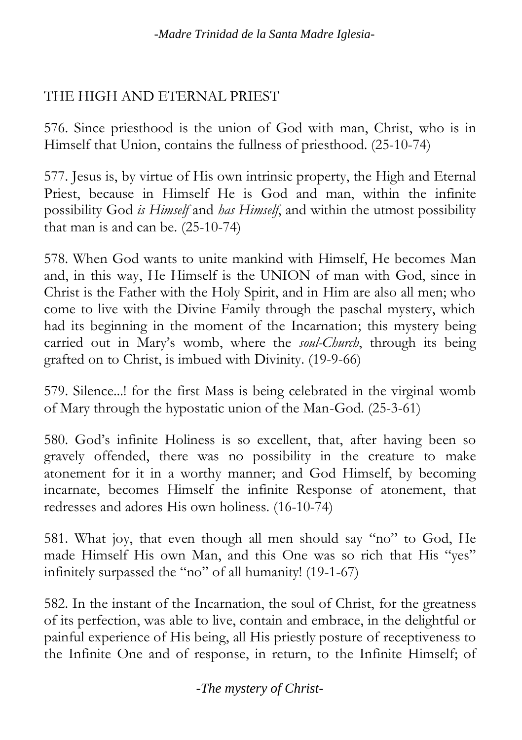#### THE HIGH AND ETERNAL PRIEST

576. Since priesthood is the union of God with man, Christ, who is in Himself that Union, contains the fullness of priesthood. (25-10-74)

577. Jesus is, by virtue of His own intrinsic property, the High and Eternal Priest, because in Himself He is God and man, within the infinite possibility God *is Himself* and *has Himself*, and within the utmost possibility that man is and can be. (25-10-74)

578. When God wants to unite mankind with Himself, He becomes Man and, in this way, He Himself is the UNION of man with God, since in Christ is the Father with the Holy Spirit, and in Him are also all men; who come to live with the Divine Family through the paschal mystery, which had its beginning in the moment of the Incarnation; this mystery being carried out in Mary's womb, where the *soul-Church*, through its being grafted on to Christ, is imbued with Divinity. (19-9-66)

579. Silence...! for the first Mass is being celebrated in the virginal womb of Mary through the hypostatic union of the Man-God. (25-3-61)

580. God's infinite Holiness is so excellent, that, after having been so gravely offended, there was no possibility in the creature to make atonement for it in a worthy manner; and God Himself, by becoming incarnate, becomes Himself the infinite Response of atonement, that redresses and adores His own holiness. (16-10-74)

581. What joy, that even though all men should say "no" to God, He made Himself His own Man, and this One was so rich that His "yes" infinitely surpassed the "no" of all humanity! (19-1-67)

582. In the instant of the Incarnation, the soul of Christ, for the greatness of its perfection, was able to live, contain and embrace, in the delightful or painful experience of His being, all His priestly posture of receptiveness to the Infinite One and of response, in return, to the Infinite Himself; of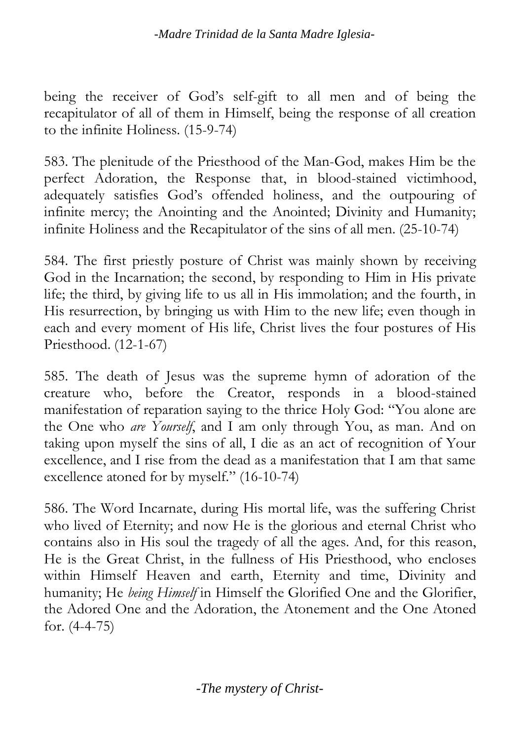being the receiver of God's self-gift to all men and of being the recapitulator of all of them in Himself, being the response of all creation to the infinite Holiness. (15-9-74)

583. The plenitude of the Priesthood of the Man-God, makes Him be the perfect Adoration, the Response that, in blood-stained victimhood, adequately satisfies God's offended holiness, and the outpouring of infinite mercy; the Anointing and the Anointed; Divinity and Humanity; infinite Holiness and the Recapitulator of the sins of all men. (25-10-74)

584. The first priestly posture of Christ was mainly shown by receiving God in the Incarnation; the second, by responding to Him in His private life; the third, by giving life to us all in His immolation; and the fourth, in His resurrection, by bringing us with Him to the new life; even though in each and every moment of His life, Christ lives the four postures of His Priesthood. (12-1-67)

585. The death of Jesus was the supreme hymn of adoration of the creature who, before the Creator, responds in a blood-stained manifestation of reparation saying to the thrice Holy God: "You alone are the One who *are Yourself*, and I am only through You, as man. And on taking upon myself the sins of all, I die as an act of recognition of Your excellence, and I rise from the dead as a manifestation that I am that same excellence atoned for by myself." (16-10-74)

586. The Word Incarnate, during His mortal life, was the suffering Christ who lived of Eternity; and now He is the glorious and eternal Christ who contains also in His soul the tragedy of all the ages. And, for this reason, He is the Great Christ, in the fullness of His Priesthood, who encloses within Himself Heaven and earth, Eternity and time, Divinity and humanity; He *being Himself* in Himself the Glorified One and the Glorifier, the Adored One and the Adoration, the Atonement and the One Atoned for. (4-4-75)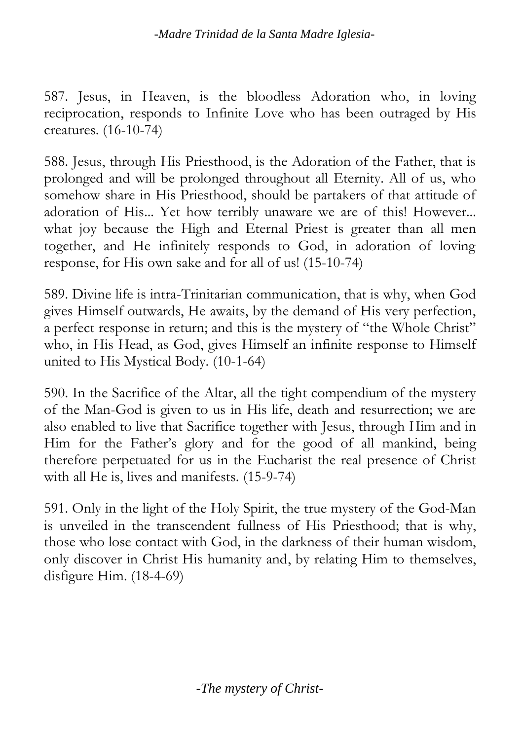587. Jesus, in Heaven, is the bloodless Adoration who, in loving reciprocation, responds to Infinite Love who has been outraged by His creatures. (16-10-74)

588. Jesus, through His Priesthood, is the Adoration of the Father, that is prolonged and will be prolonged throughout all Eternity. All of us, who somehow share in His Priesthood, should be partakers of that attitude of adoration of His... Yet how terribly unaware we are of this! However... what joy because the High and Eternal Priest is greater than all men together, and He infinitely responds to God, in adoration of loving response, for His own sake and for all of us! (15-10-74)

589. Divine life is intra-Trinitarian communication, that is why, when God gives Himself outwards, He awaits, by the demand of His very perfection, a perfect response in return; and this is the mystery of "the Whole Christ" who, in His Head, as God, gives Himself an infinite response to Himself united to His Mystical Body. (10-1-64)

590. In the Sacrifice of the Altar, all the tight compendium of the mystery of the Man-God is given to us in His life, death and resurrection; we are also enabled to live that Sacrifice together with Jesus, through Him and in Him for the Father's glory and for the good of all mankind, being therefore perpetuated for us in the Eucharist the real presence of Christ with all He is, lives and manifests. (15-9-74)

591. Only in the light of the Holy Spirit, the true mystery of the God-Man is unveiled in the transcendent fullness of His Priesthood; that is why, those who lose contact with God, in the darkness of their human wisdom, only discover in Christ His humanity and, by relating Him to themselves, disfigure Him. (18-4-69)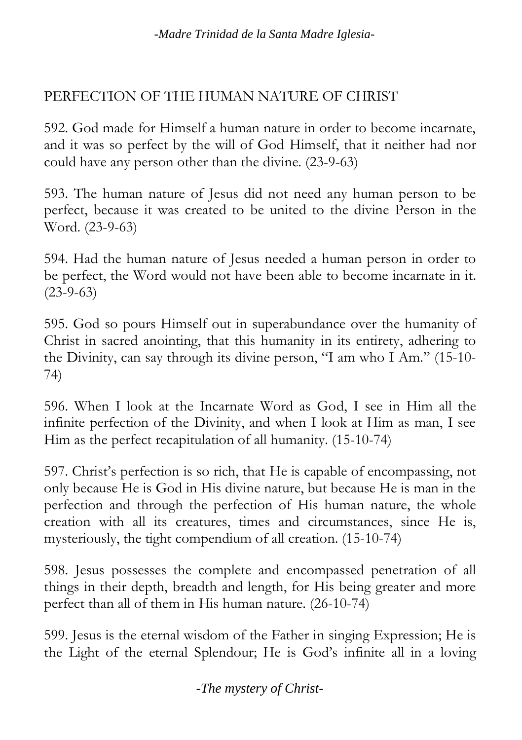### PERFECTION OF THE HUMAN NATURE OF CHRIST

592. God made for Himself a human nature in order to become incarnate, and it was so perfect by the will of God Himself, that it neither had nor could have any person other than the divine. (23-9-63)

593. The human nature of Jesus did not need any human person to be perfect, because it was created to be united to the divine Person in the Word. (23-9-63)

594. Had the human nature of Jesus needed a human person in order to be perfect, the Word would not have been able to become incarnate in it.  $(23-9-63)$ 

595. God so pours Himself out in superabundance over the humanity of Christ in sacred anointing, that this humanity in its entirety, adhering to the Divinity, can say through its divine person, "I am who I Am." (15-10- 74)

596. When I look at the Incarnate Word as God, I see in Him all the infinite perfection of the Divinity, and when I look at Him as man, I see Him as the perfect recapitulation of all humanity. (15-10-74)

597. Christ's perfection is so rich, that He is capable of encompassing, not only because He is God in His divine nature, but because He is man in the perfection and through the perfection of His human nature, the whole creation with all its creatures, times and circumstances, since He is, mysteriously, the tight compendium of all creation. (15-10-74)

598. Jesus possesses the complete and encompassed penetration of all things in their depth, breadth and length, for His being greater and more perfect than all of them in His human nature. (26-10-74)

599. Jesus is the eternal wisdom of the Father in singing Expression; He is the Light of the eternal Splendour; He is God's infinite all in a loving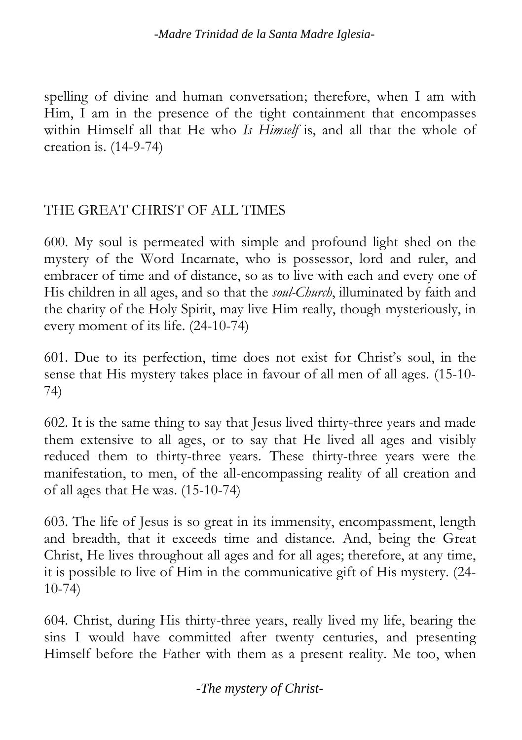spelling of divine and human conversation; therefore, when I am with Him, I am in the presence of the tight containment that encompasses within Himself all that He who *Is Himself* is, and all that the whole of creation is. (14-9-74)

#### THE GREAT CHRIST OF ALL TIMES

600. My soul is permeated with simple and profound light shed on the mystery of the Word Incarnate, who is possessor, lord and ruler, and embracer of time and of distance, so as to live with each and every one of His children in all ages, and so that the *soul-Church*, illuminated by faith and the charity of the Holy Spirit, may live Him really, though mysteriously, in every moment of its life. (24-10-74)

601. Due to its perfection, time does not exist for Christ's soul, in the sense that His mystery takes place in favour of all men of all ages. (15-10- 74)

602. It is the same thing to say that Jesus lived thirty-three years and made them extensive to all ages, or to say that He lived all ages and visibly reduced them to thirty-three years. These thirty-three years were the manifestation, to men, of the all-encompassing reality of all creation and of all ages that He was. (15-10-74)

603. The life of Jesus is so great in its immensity, encompassment, length and breadth, that it exceeds time and distance. And, being the Great Christ, He lives throughout all ages and for all ages; therefore, at any time, it is possible to live of Him in the communicative gift of His mystery. (24- 10-74)

604. Christ, during His thirty-three years, really lived my life, bearing the sins I would have committed after twenty centuries, and presenting Himself before the Father with them as a present reality. Me too, when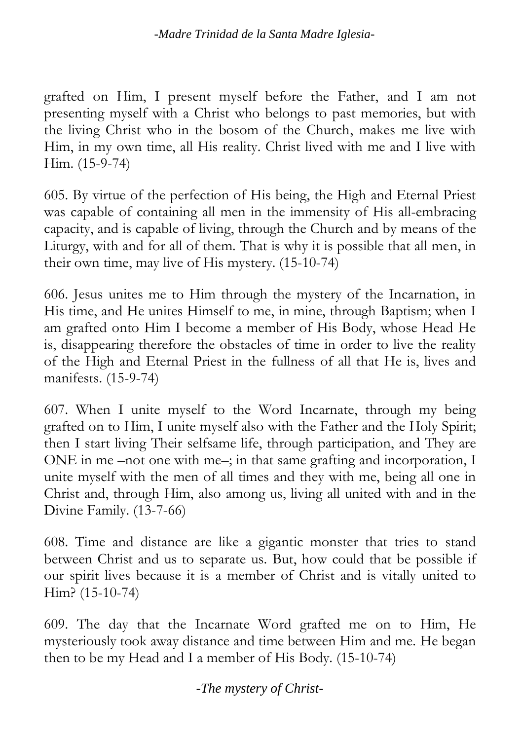grafted on Him, I present myself before the Father, and I am not presenting myself with a Christ who belongs to past memories, but with the living Christ who in the bosom of the Church, makes me live with Him, in my own time, all His reality. Christ lived with me and I live with Him. (15-9-74)

605. By virtue of the perfection of His being, the High and Eternal Priest was capable of containing all men in the immensity of His all-embracing capacity, and is capable of living, through the Church and by means of the Liturgy, with and for all of them. That is why it is possible that all men, in their own time, may live of His mystery. (15-10-74)

606. Jesus unites me to Him through the mystery of the Incarnation, in His time, and He unites Himself to me, in mine, through Baptism; when I am grafted onto Him I become a member of His Body, whose Head He is, disappearing therefore the obstacles of time in order to live the reality of the High and Eternal Priest in the fullness of all that He is, lives and manifests. (15-9-74)

607. When I unite myself to the Word Incarnate, through my being grafted on to Him, I unite myself also with the Father and the Holy Spirit; then I start living Their selfsame life, through participation, and They are ONE in me –not one with me–; in that same grafting and incorporation, I unite myself with the men of all times and they with me, being all one in Christ and, through Him, also among us, living all united with and in the Divine Family. (13-7-66)

608. Time and distance are like a gigantic monster that tries to stand between Christ and us to separate us. But, how could that be possible if our spirit lives because it is a member of Christ and is vitally united to Him? (15-10-74)

609. The day that the Incarnate Word grafted me on to Him, He mysteriously took away distance and time between Him and me. He began then to be my Head and I a member of His Body. (15-10-74)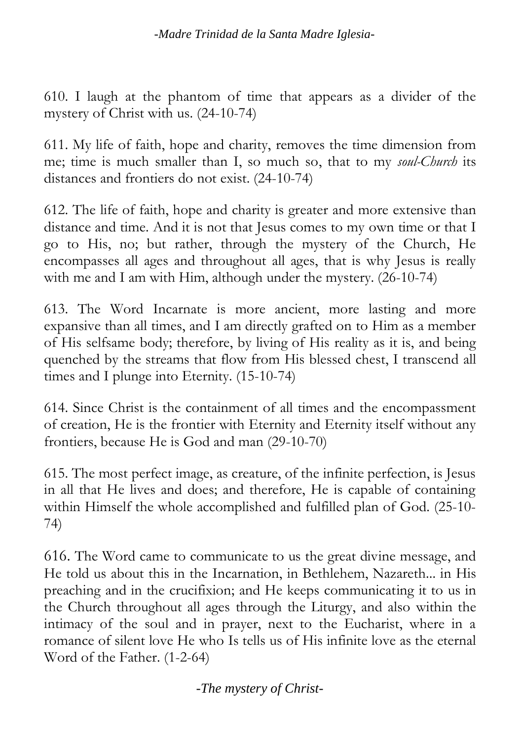610. I laugh at the phantom of time that appears as a divider of the mystery of Christ with us. (24-10-74)

611. My life of faith, hope and charity, removes the time dimension from me; time is much smaller than I, so much so, that to my *soul-Church* its distances and frontiers do not exist. (24-10-74)

612. The life of faith, hope and charity is greater and more extensive than distance and time. And it is not that Jesus comes to my own time or that I go to His, no; but rather, through the mystery of the Church, He encompasses all ages and throughout all ages, that is why Jesus is really with me and I am with Him, although under the mystery. (26-10-74)

613. The Word Incarnate is more ancient, more lasting and more expansive than all times, and I am directly grafted on to Him as a member of His selfsame body; therefore, by living of His reality as it is, and being quenched by the streams that flow from His blessed chest, I transcend all times and I plunge into Eternity. (15-10-74)

614. Since Christ is the containment of all times and the encompassment of creation, He is the frontier with Eternity and Eternity itself without any frontiers, because He is God and man (29-10-70)

615. The most perfect image, as creature, of the infinite perfection, is Jesus in all that He lives and does; and therefore, He is capable of containing within Himself the whole accomplished and fulfilled plan of God. (25-10- 74)

616. The Word came to communicate to us the great divine message, and He told us about this in the Incarnation, in Bethlehem, Nazareth... in His preaching and in the crucifixion; and He keeps communicating it to us in the Church throughout all ages through the Liturgy, and also within the intimacy of the soul and in prayer, next to the Eucharist, where in a romance of silent love He who Is tells us of His infinite love as the eternal Word of the Father. (1-2-64)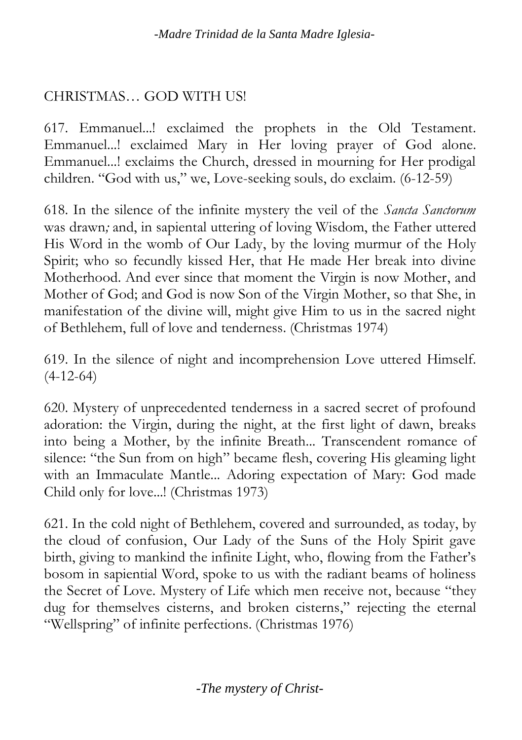### CHRISTMAS… GOD WITH US!

617. Emmanuel...! exclaimed the prophets in the Old Testament. Emmanuel...! exclaimed Mary in Her loving prayer of God alone. Emmanuel...! exclaims the Church, dressed in mourning for Her prodigal children. "God with us," we, Love-seeking souls, do exclaim. (6-12-59)

618. In the silence of the infinite mystery the veil of the *Sancta Sanctorum* was drawn*;* and, in sapiental uttering of loving Wisdom, the Father uttered His Word in the womb of Our Lady, by the loving murmur of the Holy Spirit; who so fecundly kissed Her, that He made Her break into divine Motherhood. And ever since that moment the Virgin is now Mother, and Mother of God; and God is now Son of the Virgin Mother, so that She, in manifestation of the divine will, might give Him to us in the sacred night of Bethlehem, full of love and tenderness. (Christmas 1974)

619. In the silence of night and incomprehension Love uttered Himself. (4-12-64)

620. Mystery of unprecedented tenderness in a sacred secret of profound adoration: the Virgin, during the night, at the first light of dawn, breaks into being a Mother, by the infinite Breath... Transcendent romance of silence: "the Sun from on high" became flesh, covering His gleaming light with an Immaculate Mantle... Adoring expectation of Mary: God made Child only for love...! (Christmas 1973)

621. In the cold night of Bethlehem, covered and surrounded, as today, by the cloud of confusion, Our Lady of the Suns of the Holy Spirit gave birth, giving to mankind the infinite Light, who, flowing from the Father's bosom in sapiential Word, spoke to us with the radiant beams of holiness the Secret of Love. Mystery of Life which men receive not, because "they dug for themselves cisterns, and broken cisterns," rejecting the eternal "Wellspring" of infinite perfections. (Christmas 1976)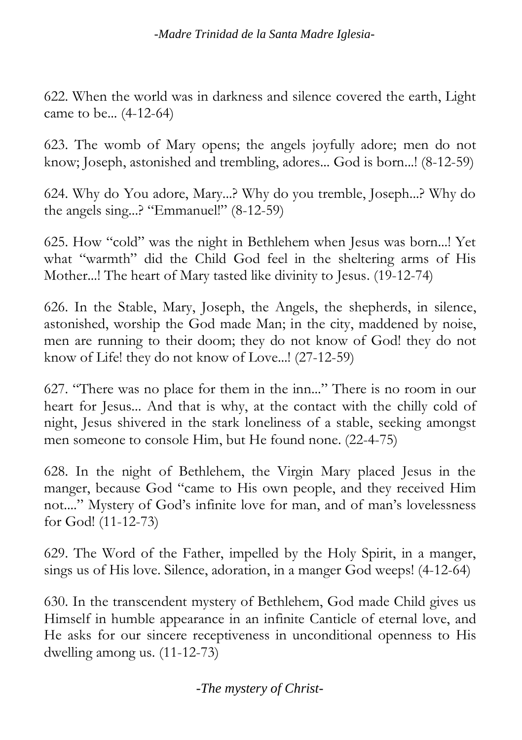622. When the world was in darkness and silence covered the earth, Light came to be... (4-12-64)

623. The womb of Mary opens; the angels joyfully adore; men do not know; Joseph, astonished and trembling, adores... God is born...! (8-12-59)

624. Why do You adore, Mary...? Why do you tremble, Joseph...? Why do the angels sing...? "Emmanuel!" (8-12-59)

625. How "cold" was the night in Bethlehem when Jesus was born...! Yet what "warmth" did the Child God feel in the sheltering arms of His Mother...! The heart of Mary tasted like divinity to Jesus. (19-12-74)

626. In the Stable, Mary, Joseph, the Angels, the shepherds, in silence, astonished, worship the God made Man; in the city, maddened by noise, men are running to their doom; they do not know of God! they do not know of Life! they do not know of Love...! (27-12-59)

627. "There was no place for them in the inn..." There is no room in our heart for Jesus... And that is why, at the contact with the chilly cold of night, Jesus shivered in the stark loneliness of a stable, seeking amongst men someone to console Him, but He found none. (22-4-75)

628. In the night of Bethlehem, the Virgin Mary placed Jesus in the manger, because God "came to His own people, and they received Him not...." Mystery of God's infinite love for man, and of man's lovelessness for God! (11-12-73)

629. The Word of the Father, impelled by the Holy Spirit, in a manger, sings us of His love. Silence, adoration, in a manger God weeps! (4-12-64)

630. In the transcendent mystery of Bethlehem, God made Child gives us Himself in humble appearance in an infinite Canticle of eternal love, and He asks for our sincere receptiveness in unconditional openness to His dwelling among us. (11-12-73)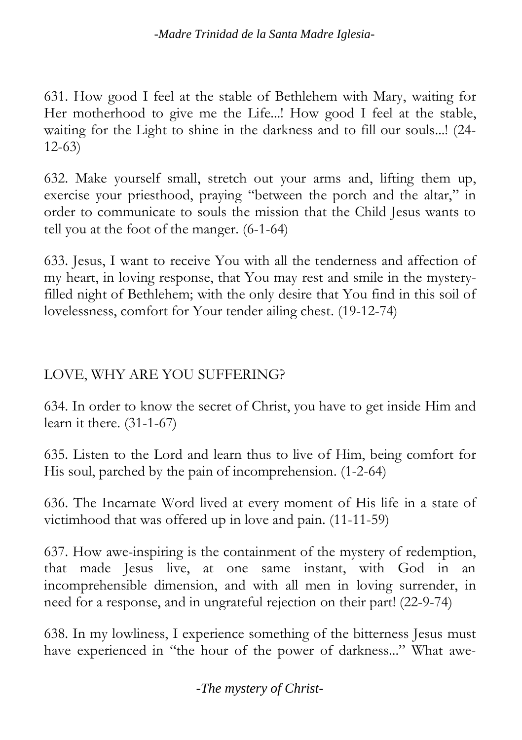631. How good I feel at the stable of Bethlehem with Mary, waiting for Her motherhood to give me the Life...! How good I feel at the stable, waiting for the Light to shine in the darkness and to fill our souls...! (24- 12-63)

632. Make yourself small, stretch out your arms and, lifting them up, exercise your priesthood, praying "between the porch and the altar," in order to communicate to souls the mission that the Child Jesus wants to tell you at the foot of the manger. (6-1-64)

633. Jesus, I want to receive You with all the tenderness and affection of my heart, in loving response, that You may rest and smile in the mysteryfilled night of Bethlehem; with the only desire that You find in this soil of lovelessness, comfort for Your tender ailing chest. (19-12-74)

### LOVE, WHY ARE YOU SUFFERING?

634. In order to know the secret of Christ, you have to get inside Him and learn it there. (31-1-67)

635. Listen to the Lord and learn thus to live of Him, being comfort for His soul, parched by the pain of incomprehension. (1-2-64)

636. The Incarnate Word lived at every moment of His life in a state of victimhood that was offered up in love and pain. (11-11-59)

637. How awe-inspiring is the containment of the mystery of redemption, that made Jesus live, at one same instant, with God in an incomprehensible dimension, and with all men in loving surrender, in need for a response, and in ungrateful rejection on their part! (22-9-74)

638. In my lowliness, I experience something of the bitterness Jesus must have experienced in "the hour of the power of darkness..." What awe-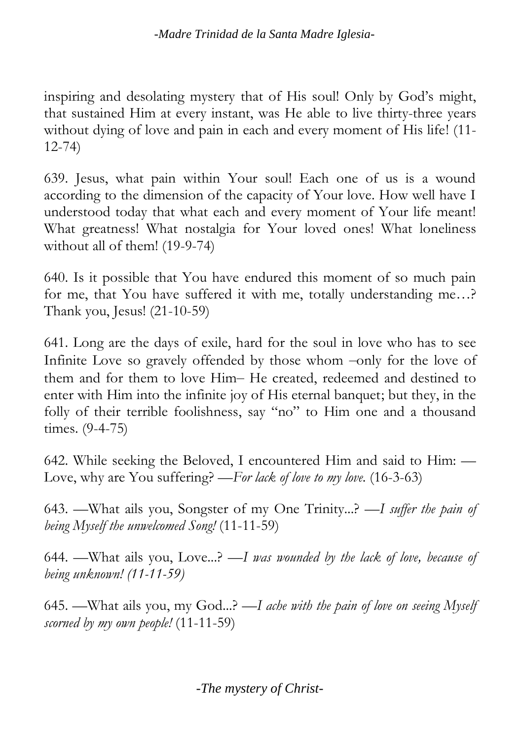inspiring and desolating mystery that of His soul! Only by God's might, that sustained Him at every instant, was He able to live thirty-three years without dying of love and pain in each and every moment of His life! (11- 12-74)

639. Jesus, what pain within Your soul! Each one of us is a wound according to the dimension of the capacity of Your love. How well have I understood today that what each and every moment of Your life meant! What greatness! What nostalgia for Your loved ones! What loneliness without all of them! (19-9-74)

640. Is it possible that You have endured this moment of so much pain for me, that You have suffered it with me, totally understanding me…? Thank you, Jesus! (21-10-59)

641. Long are the days of exile, hard for the soul in love who has to see Infinite Love so gravely offended by those whom –only for the love of them and for them to love Him– He created, redeemed and destined to enter with Him into the infinite joy of His eternal banquet; but they, in the folly of their terrible foolishness, say "no" to Him one and a thousand times. (9-4-75)

642. While seeking the Beloved, I encountered Him and said to Him: — Love, why are You suffering? —*For lack of love to my love.* (16-3-63)

643. —What ails you, Songster of my One Trinity...? —*I suffer the pain of being Myself the unwelcomed Song!* (11-11-59)

644. —What ails you, Love...? *—I was wounded by the lack of love, because of being unknown! (11-11-59)*

645. —What ails you, my God...? —*I ache with the pain of love on seeing Myself scorned by my own people!* (11-11-59)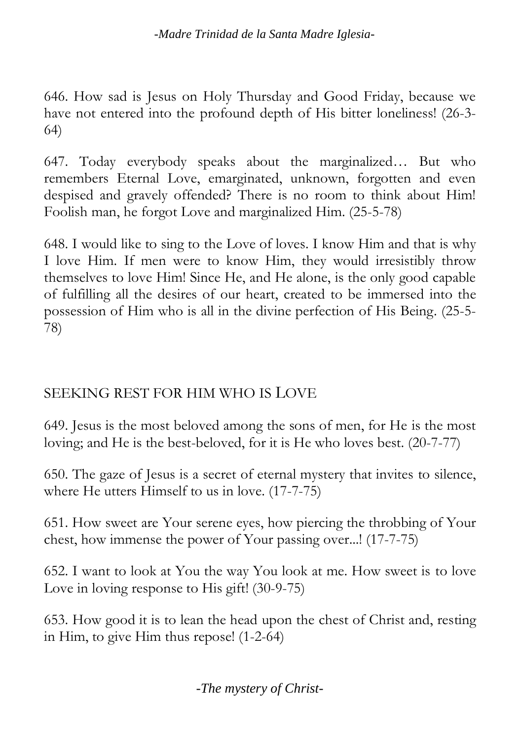646. How sad is Jesus on Holy Thursday and Good Friday, because we have not entered into the profound depth of His bitter loneliness! (26-3- 64)

647. Today everybody speaks about the marginalized… But who remembers Eternal Love, emarginated, unknown, forgotten and even despised and gravely offended? There is no room to think about Him! Foolish man, he forgot Love and marginalized Him. (25-5-78)

648. I would like to sing to the Love of loves. I know Him and that is why I love Him. If men were to know Him, they would irresistibly throw themselves to love Him! Since He, and He alone, is the only good capable of fulfilling all the desires of our heart, created to be immersed into the possession of Him who is all in the divine perfection of His Being. (25-5- 78)

### SEEKING REST FOR HIM WHO IS LOVE

649. Jesus is the most beloved among the sons of men, for He is the most loving; and He is the best-beloved, for it is He who loves best. (20-7-77)

650. The gaze of Jesus is a secret of eternal mystery that invites to silence, where He utters Himself to us in love. (17-7-75)

651. How sweet are Your serene eyes, how piercing the throbbing of Your chest, how immense the power of Your passing over...! (17-7-75)

652. I want to look at You the way You look at me. How sweet is to love Love in loving response to His gift! (30-9-75)

653. How good it is to lean the head upon the chest of Christ and, resting in Him, to give Him thus repose! (1-2-64)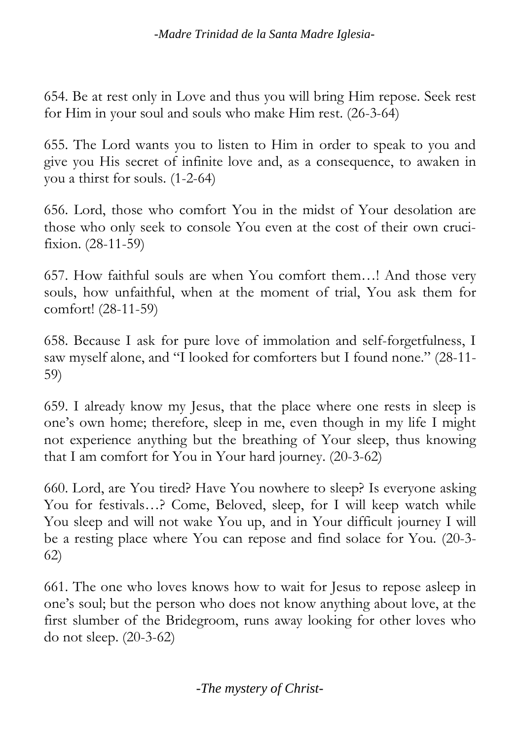654. Be at rest only in Love and thus you will bring Him repose. Seek rest for Him in your soul and souls who make Him rest. (26-3-64)

655. The Lord wants you to listen to Him in order to speak to you and give you His secret of infinite love and, as a consequence, to awaken in you a thirst for souls. (1-2-64)

656. Lord, those who comfort You in the midst of Your desolation are those who only seek to console You even at the cost of their own crucifixion. (28-11-59)

657. How faithful souls are when You comfort them…! And those very souls, how unfaithful, when at the moment of trial, You ask them for comfort! (28-11-59)

658. Because I ask for pure love of immolation and self-forgetfulness, I saw myself alone, and "I looked for comforters but I found none." (28-11- 59)

659. I already know my Jesus, that the place where one rests in sleep is one's own home; therefore, sleep in me, even though in my life I might not experience anything but the breathing of Your sleep, thus knowing that I am comfort for You in Your hard journey. (20-3-62)

660. Lord, are You tired? Have You nowhere to sleep? Is everyone asking You for festivals…? Come, Beloved, sleep, for I will keep watch while You sleep and will not wake You up, and in Your difficult journey I will be a resting place where You can repose and find solace for You. (20-3- 62)

661. The one who loves knows how to wait for Jesus to repose asleep in one's soul; but the person who does not know anything about love, at the first slumber of the Bridegroom, runs away looking for other loves who do not sleep. (20-3-62)